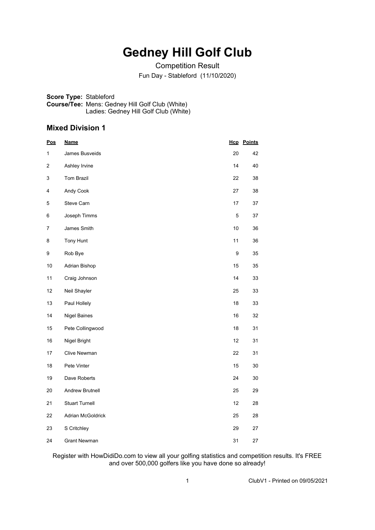# **Gedney Hill Golf Club**

Competition Result Fun Day - Stableford (11/10/2020)

**Score Type:** Stableford **Course/Tee:** Mens: Gedney Hill Golf Club (White) Ladies: Gedney Hill Golf Club (White)

#### **Mixed Division 1**

| <u>Pos</u> | <u>Name</u>           | <u>Нср</u> | <u>Points</u> |
|------------|-----------------------|------------|---------------|
| 1          | James Busveids        | 20         | 42            |
| 2          | Ashley Irvine         | 14         | 40            |
| 3          | <b>Tom Brazil</b>     | 22         | 38            |
| 4          | Andy Cook             | 27         | 38            |
| 5          | Steve Carn            | 17         | 37            |
| 6          | Joseph Timms          | 5          | 37            |
| 7          | James Smith           | 10         | 36            |
| 8          | Tony Hunt             | 11         | 36            |
| 9          | Rob Bye               | 9          | 35            |
| 10         | Adrian Bishop         | 15         | 35            |
| 11         | Craig Johnson         | 14         | 33            |
| 12         | Neil Shayler          | 25         | 33            |
| 13         | Paul Hollely          | 18         | 33            |
| 14         | <b>Nigel Baines</b>   | 16         | 32            |
| 15         | Pete Collingwood      | 18         | 31            |
| 16         | Nigel Bright          | 12         | 31            |
| 17         | Clive Newman          | 22         | 31            |
| 18         | Pete Vinter           | 15         | 30            |
| 19         | Dave Roberts          | 24         | 30            |
| 20         | Andrew Brutnell       | 25         | 29            |
| 21         | <b>Stuart Turnell</b> | 12         | 28            |
| 22         | Adrian McGoldrick     | 25         | 28            |
| 23         | S Critchley           | 29         | 27            |
| 24         | <b>Grant Newman</b>   | 31         | 27            |

Register with HowDidiDo.com to view all your golfing statistics and competition results. It's FREE and over 500,000 golfers like you have done so already!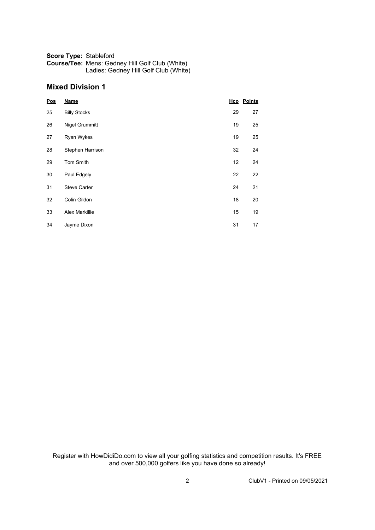#### **Score Type:** Stableford **Course/Tee:** Mens: Gedney Hill Golf Club (White) Ladies: Gedney Hill Golf Club (White)

#### **Mixed Division 1**

| Pos | <b>Name</b>         |    | <b>Hcp</b> Points |
|-----|---------------------|----|-------------------|
| 25  | <b>Billy Stocks</b> | 29 | 27                |
| 26  | Nigel Grummitt      | 19 | 25                |
| 27  | Ryan Wykes          | 19 | 25                |
| 28  | Stephen Harrison    | 32 | 24                |
| 29  | Tom Smith           | 12 | 24                |
| 30  | Paul Edgely         | 22 | 22                |
| 31  | <b>Steve Carter</b> | 24 | 21                |
| 32  | Colin Gildon        | 18 | 20                |
| 33  | Alex Markillie      | 15 | 19                |
| 34  | Jayme Dixon         | 31 | 17                |

Register with HowDidiDo.com to view all your golfing statistics and competition results. It's FREE and over 500,000 golfers like you have done so already!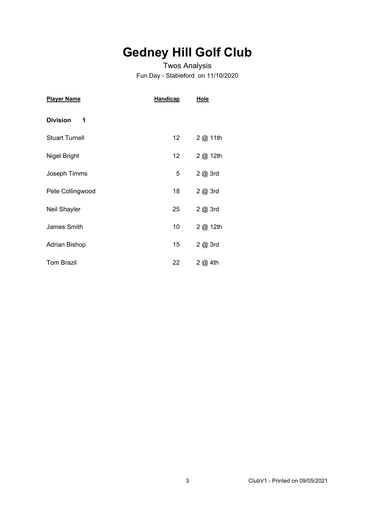# **Gedney Hill Golf Club**

### Twos Analysis Fun Day - Stableford on 11/10/2020

| <b>Player Name</b>    | <b>Handicap</b> | <u>Hole</u> |
|-----------------------|-----------------|-------------|
| <b>Division</b><br>1  |                 |             |
| <b>Stuart Turnell</b> | 12              | 2 @ 11th    |
| Nigel Bright          | 12              | 2 @ 12th    |
| Joseph Timms          | 5               | 2 @ 3rd     |
| Pete Collingwood      | 18              | 2 @ 3rd     |
| Neil Shayler          | 25              | 2 @ 3rd     |
| James Smith           | 10              | 2 @ 12th    |
| Adrian Bishop         | 15              | 2 @ 3rd     |
| <b>Tom Brazil</b>     | 22              | 2 @ 4th     |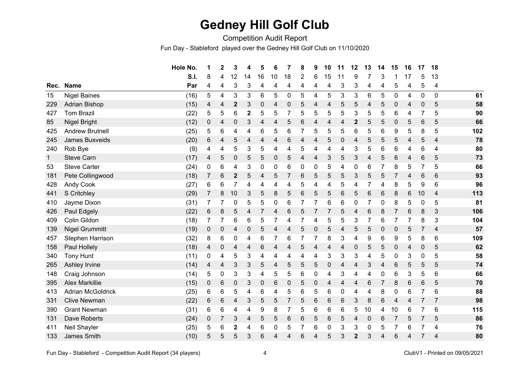### **Gedney Hill Golf Club**

Competition Audit Report

Fun Day - Stableford played over the Gedney Hill Golf Club on 11/10/2020

|              |                          | Hole No. | 1              | $\mathbf{2}$ | 3            | 4            | 5  | 6  | 7              | 8 | 9                | 10        | 11          | 12               | 13               | 14             | 15              | 16 | 17          | 18             |     |
|--------------|--------------------------|----------|----------------|--------------|--------------|--------------|----|----|----------------|---|------------------|-----------|-------------|------------------|------------------|----------------|-----------------|----|-------------|----------------|-----|
|              |                          | S.I.     | 8              | 4            | 12           | 14           | 16 | 10 | 18             | 2 | 6                | 15        | 11          | 9                | 7                | 3              |                 | 17 | 5           | 13             |     |
| Rec.         | <b>Name</b>              | Par      | 4              | 4            | 3            | 3            | 4  | 4  | 4              | 4 | 4                | 4         | 3           | 3                | 4                | 4              | 5               | 4  | 5           | 4              |     |
| 15           | <b>Nigel Baines</b>      | (16)     | 5              | 4            | 3            | 3            | 6  | 5  | $\mathbf 0$    | 5 | 4                | 5         | 3           | 3                | 6                | 5              | $\pmb{0}$       | 4  | 0           | $\mathbf 0$    | 61  |
| 229          | Adrian Bishop            | (15)     | 4              | 4            | $\mathbf 2$  | 3            | 0  | 4  | 0              | 5 | 4                | 4         | 5           | 5                | 4                | 5              | $\mathbf 0$     | 4  | $\mathbf 0$ | 5              | 58  |
| 427          | <b>Tom Brazil</b>        | (22)     | 5              | 5            | 6            | $\mathbf{2}$ | 5  | 5  | 7              | 5 | 5                | 5         | 5           | 3                | 5                | 5              | 6               | 4  | 7           | 5              | 90  |
| 85           | Nigel Bright             | (12)     | 0              | 4            | 0            | 3            | 4  | 4  | 5              | 6 | 4                | 4         | 4           | $\boldsymbol{2}$ | 5                | 5              | 0               | 5  | 6           | 5              | 66  |
| 425          | <b>Andrew Brutnell</b>   | (25)     | 5              | 6            | 4            | 4            | 6  | 5  | 6              |   | 5                | 5         | 5           | 6                | 5                | 6              | 9               | 5  | 8           | 5              | 102 |
| 245          | <b>James Busveids</b>    | (20)     | 6              | 4            | 5            | 4            | 4  | 4  | 6              | 4 | 4                | 5         | $\mathbf 0$ | 4                | 5                | 5              | 5               | 4  | 5           | $\overline{4}$ | 78  |
| 240          | Rob Bye                  | (9)      | 4              | 4            | 5            | 3            | 5  | 4  | 4              | 5 | 4                | 4         | 4           | $\mathfrak{S}$   | 5                | 6              | 6               | 4  | 6           | 4              | 80  |
| $\mathbf{1}$ | <b>Steve Carn</b>        | (17)     | 4              | 5            | 0            | 5            | 5  | 0  | 5              | 4 | 4                | 3         | 5           | 3                | $\overline{4}$   | 5              | 6               | 4  | 6           | 5              | 73  |
| 53           | <b>Steve Carter</b>      | (24)     | 0              | 6            | 4            | 3            | 0  | 0  | 6              | 0 | 0                | 5         | 4           | 0                | 6                |                | 8               | 5  | 7           | 5              | 66  |
| 181          | Pete Collingwood         | (18)     | $\overline{7}$ | 6            | $\mathbf{2}$ | 5            | 4  | 5  | 7              | 6 | 5                | 5         | 5           | 3                | 5                | 5              |                 | 4  | 6           | 6              | 93  |
| 428          | <b>Andy Cook</b>         | (27)     | 6              | 6            | 7            | 4            | 4  | 4  | 4              | 5 | 4                | 4         | 5           | 4                | 7                | 4              | 8               | 5  | 9           | 6              | 96  |
| 441          | S Critchley              | (29)     | 7              | 8            | 10           | 3            | 5  | 8  | 5              | 6 | 5                | 5         | 6           | 5                | 6                | 6              | 8               | 6  | 10          | $\overline{4}$ | 113 |
| 410          | Jayme Dixon              | (31)     |                |              | 0            | 5            | 5  | 0  | 6              |   | 7                | 6         | 6           | $\Omega$         | $\overline{7}$   | 0              | 8               | 5  | 0           | 5              | 81  |
| 426          | Paul Edgely              | (22)     | 6              | 8            | 5            | 4            | 7  | 4  | 6              | 5 | 7                | 7         | 5           | 4                | 6                | 8              | 7               | 6  | 8           | 3              | 106 |
| 409          | Colin Gildon             | (18)     |                |              | 6            | 6            | 5  | 7  | 4              |   | 4                | 5         | 5           | 3                | 7                | 6              |                 | 7  | 8           | 3              | 104 |
| 139          | <b>Nigel Grummitt</b>    | (19)     | 0              | 0            | 4            | $\mathbf 0$  | 5  | 4  | 4              | 5 | 0                | 5         | 4           | 5                | 5                | $\mathbf 0$    | 0               | 5  | 7           | 4              | 57  |
| 457          | Stephen Harrison         | (32)     | 8              | 6            | 0            | 4            | 6  | 7  | 6              |   | 7                | 8         | 3           | 4                | 9                | 6              | 9               | 5  | 8           | 6              | 109 |
| 158          | Paul Hollely             | (18)     | 4              | 0            | 4            | 4            | 6  | 4  | 4              | 5 | 4                | 4         | 4           | 0                | 5                | 5              | 0               | 4  | $\mathbf 0$ | 5              | 62  |
| 340          | <b>Tony Hunt</b>         | (11)     | 0              | 4            | 5            | 3            | 4  | 4  | 4              | 4 | 4                | 3         | 3           | 3                | 4                | 5              | 0               | 3  | 0           | 5              | 58  |
| 265          | Ashley Irvine            | (14)     | 4              | 4            | 3            | 3            | 5  | 4  | 5              | 5 | 5                | $\pmb{0}$ | 4           | 4                | 3                | 4              | $6\phantom{1}6$ | 5  | 5           | 5              | 74  |
| 148          | Craig Johnson            | (14)     | 5              | $\pmb{0}$    | 3            | 3            | 4  | 5  | 5              | 6 | 0                | 4         | 3           | 4                | 4                | 0              | 6               | 3  | 5           | 6              | 66  |
| 395          | <b>Alex Markillie</b>    | (15)     | 0              | $\,6$        | 0            | 3            | 0  | 6  | 0              | 5 | $\boldsymbol{0}$ | 4         | 4           | 4                | $\,6$            | $\overline{7}$ | 8               | 6  | 6           | 5              | 70  |
| 413          | <b>Adrian McGoldrick</b> | (25)     | 6              | 6            | 5            | 4            | 6  | 4  | 5              | 6 | 5                | 6         | 0           | 4                | 4                | 8              | $\mathbf 0$     | 6  |             | 6              | 88  |
| 331          | <b>Clive Newman</b>      | (22)     | 6              | 6            | 4            | 3            | 5  | 5  | $\overline{7}$ | 5 | 6                | 6         | 6           | 3                | 8                | 6              | $\overline{4}$  | 4  |             | $\overline{7}$ | 98  |
| 390          | <b>Grant Newman</b>      | (31)     | 6              | 6            | 4            | 4            | 9  | 8  | 7              | 5 | 6                | 6         | 6           | 5                | 10               | 4              | 10              | 6  | 7           | 6              | 115 |
| 131          | Dave Roberts             | (24)     | 0              | 7            | 3            | 4            | 5  | 5  | 6              | 6 | 5                | 6         | 5           | 4                | $\boldsymbol{0}$ | 6              | 7               | 5  | 7           | 5              | 86  |
| 411          | Neil Shayler             | (25)     | 5              | 6            | $\mathbf 2$  | 4            | 6  | 0  | 5              |   | 6                | 0         | 3           | 3                | $\pmb{0}$        | 5              |                 | 6  | 7           | 4              | 76  |
| 133          | James Smith              | (10)     | 5              | 5            | 5            | 3            | 6  | 4  | 4              | 6 | 4                | 5         | 3           | $\overline{2}$   | 3                | 4              | 6               | 4  | 7           | 4              | 80  |